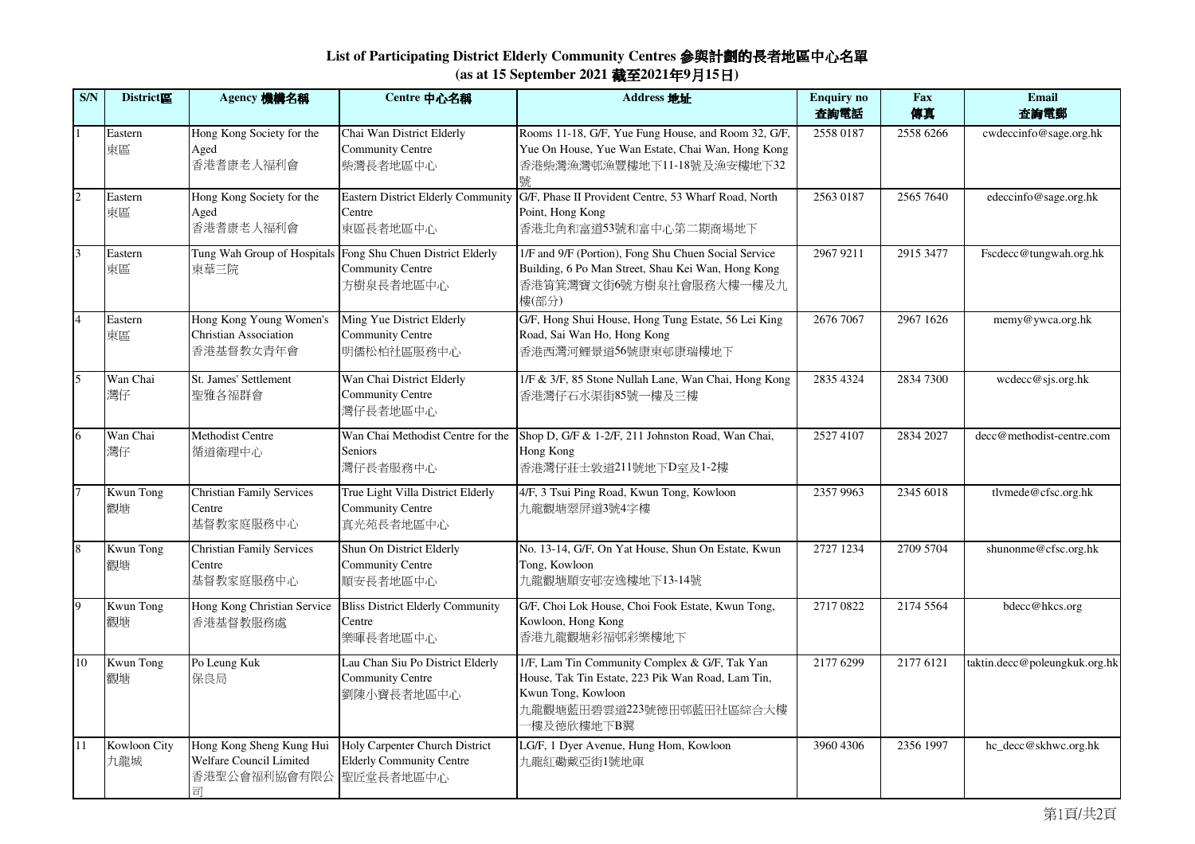## **List of Participating District Elderly Community Centres** 參與計劃的長者地區中心名單**(as at 15 September 2021** 截至**2021**年**9**月**15**日**)**

| S/N            | District區              | Agency 機構名稱                                                                        | Centre 中心名稱                                                                                         | Address 地址                                                                                                                                                         | <b>Enquiry no</b><br>査詢電話 | Fax<br>傳真 | Email<br>査詢電郵                 |
|----------------|------------------------|------------------------------------------------------------------------------------|-----------------------------------------------------------------------------------------------------|--------------------------------------------------------------------------------------------------------------------------------------------------------------------|---------------------------|-----------|-------------------------------|
| $\mathbf{1}$   | Eastern<br>東區          | Hong Kong Society for the<br>Aged<br>香港耆康老人福利會                                     | Chai Wan District Elderly<br><b>Community Centre</b><br>柴灣長者地區中心                                    | Rooms 11-18, G/F, Yue Fung House, and Room 32, G/F,<br>Yue On House, Yue Wan Estate, Chai Wan, Hong Kong<br>香港柴灣漁灣邨漁豐樓地下11-18號及漁安樓地下32                             | 2558 0187                 | 2558 6266 | cwdeccinfo@sage.org.hk        |
| $\overline{2}$ | Eastern<br>東區          | Hong Kong Society for the<br>Aged<br>香港耆康老人福利會                                     | <b>Eastern District Elderly Community</b><br>Centre<br>東區長者地區中心                                     | G/F, Phase II Provident Centre, 53 Wharf Road, North<br>Point, Hong Kong<br>香港北角和富道53號和富中心第二期商場地下                                                                  | 2563 0187                 | 2565 7640 | edeccinfo@sage.org.hk         |
| $\overline{3}$ | Eastern<br>東區          | 東華三院                                                                               | Tung Wah Group of Hospitals Fong Shu Chuen District Elderly<br><b>Community Centre</b><br>方樹泉長者地區中心 | 1/F and 9/F (Portion), Fong Shu Chuen Social Service<br>Building, 6 Po Man Street, Shau Kei Wan, Hong Kong<br>香港筲箕灣寶文街6號方樹泉社會服務大樓一樓及九<br>樓(部分)                     | 2967 9211                 | 2915 3477 | Fscdecc@tungwah.org.hk        |
| $\overline{4}$ | Eastern<br>東區          | Hong Kong Young Women's<br><b>Christian Association</b><br>香港基督教女青年會               | Ming Yue District Elderly<br><b>Community Centre</b><br>明儒松柏社區服務中心                                  | G/F, Hong Shui House, Hong Tung Estate, 56 Lei King<br>Road, Sai Wan Ho, Hong Kong<br>香港西灣河鯉景道56號康東邨康瑞樓地下                                                          | 2676 7067                 | 2967 1626 | memy@ywca.org.hk              |
| 5              | Wan Chai<br>灣仔         | St. James' Settlement<br>聖雅各福群會                                                    | Wan Chai District Elderly<br><b>Community Centre</b><br>灣仔長者地區中心                                    | 1/F & 3/F, 85 Stone Nullah Lane, Wan Chai, Hong Kong<br>香港灣仔石水渠街85號一樓及三樓                                                                                           | 2835 4324                 | 2834 7300 | wcdecc@sjs.org.hk             |
| 6              | Wan Chai<br>灣仔         | Methodist Centre<br>循道衛理中心                                                         | Wan Chai Methodist Centre for the<br>Seniors<br>灣仔長者服務中心                                            | Shop D, G/F & 1-2/F, 211 Johnston Road, Wan Chai,<br>Hong Kong<br>香港灣仔莊士敦道211號地下D室及1-2樓                                                                            | 2527 4107                 | 2834 2027 | decc@methodist-centre.com     |
| 7              | <b>Kwun Tong</b><br>觀塘 | <b>Christian Family Services</b><br>Centre<br>基督教家庭服務中心                            | True Light Villa District Elderly<br><b>Community Centre</b><br>真光苑長者地區中心                           | 4/F, 3 Tsui Ping Road, Kwun Tong, Kowloon<br>九龍觀塘翠屏道3號4字樓                                                                                                          | 2357 9963                 | 2345 6018 | tlvmede@cfsc.org.hk           |
| $\overline{8}$ | <b>Kwun Tong</b><br>觀塘 | <b>Christian Family Services</b><br>Centre<br>基督教家庭服務中心                            | Shun On District Elderly<br><b>Community Centre</b><br>順安長者地區中心                                     | No. 13-14, G/F, On Yat House, Shun On Estate, Kwun<br>Tong, Kowloon<br>九龍觀塘順安邨安逸樓地下13-14號                                                                          | 2727 1234                 | 2709 5704 | shunonme@cfsc.org.hk          |
| $\overline{9}$ | <b>Kwun Tong</b><br>觀塘 | Hong Kong Christian Service<br>香港基督教服務處                                            | <b>Bliss District Elderly Community</b><br>Centre<br>樂暉長者地區中心                                       | G/F, Choi Lok House, Choi Fook Estate, Kwun Tong,<br>Kowloon, Hong Kong<br>香港九龍觀塘彩福邨彩樂樓地下                                                                          | 2717 0822                 | 2174 5564 | bdecc@hkcs.org                |
| 10             | <b>Kwun Tong</b><br>觀塘 | Po Leung Kuk<br>保良局                                                                | Lau Chan Siu Po District Elderly<br><b>Community Centre</b><br>劉陳小寶長者地區中心                           | 1/F, Lam Tin Community Complex & G/F, Tak Yan<br>House, Tak Tin Estate, 223 Pik Wan Road, Lam Tin,<br>Kwun Tong, Kowloon<br>九龍觀塘藍田碧雲道223號德田邨藍田社區綜合大樓<br>一樓及德欣樓地下B翼 | 2177 6299                 | 2177 6121 | taktin.decc@poleungkuk.org.hk |
| 11             | Kowloon City<br>九龍城    | Hong Kong Sheng Kung Hui<br>Welfare Council Limited<br>香港聖公會福利協會有限公 聖匠堂長者地區中心<br>司 | Holy Carpenter Church District<br><b>Elderly Community Centre</b>                                   | LG/F, 1 Dyer Avenue, Hung Hom, Kowloon<br>九龍紅磡戴亞街1號地庫                                                                                                              | 3960 4306                 | 2356 1997 | hc_decc@skhwc.org.hk          |